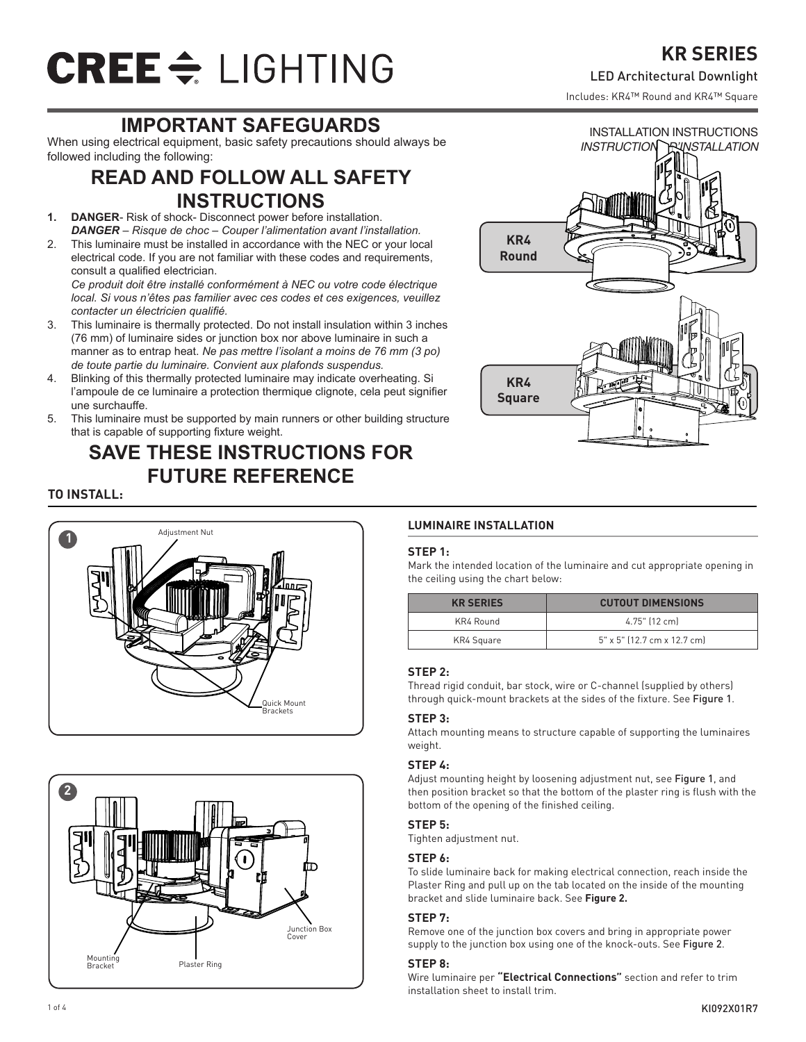# CREE <del>C</del> LIGHTING

## **IMPORTANT SAFEGUARDS**

When using electrical equipment, basic safety precautions should always be followed including the following:

### **READ AND FOLLOW ALL SAFETY INSTRUCTIONS**

- **1. DANGER** Risk of shock- Disconnect power before installation. *DANGER – Risque de choc – Couper l'alimentation avant l'installation.*
- 2. This luminaire must be installed in accordance with the NEC or your local electrical code. If you are not familiar with these codes and requirements, consult a qualified electrician.

*Ce produit doit être installé conformément à NEC ou votre code électrique local. Si vous n'êtes pas familier avec ces codes et ces exigences, veuillez contacter un électricien qualifié.*

- 3. This luminaire is thermally protected. Do not install insulation within 3 inches (76 mm) of luminaire sides or junction box nor above luminaire in such a manner as to entrap heat. *Ne pas mettre l'isolant a moins de 76 mm (3 po) de toute partie du luminaire. Convient aux plafonds suspendus.*
- 4. Blinking of this thermally protected luminaire may indicate overheating. Si l'ampoule de ce luminaire a protection thermique clignote, cela peut signifier une surchauffe.
- 5. This luminaire must be supported by main runners or other building structure that is capable of supporting fixture weight.

## **SAVE THESE INSTRUCTIONS FOR FUTURE REFERENCE**



#### **TO INSTALL:**





#### **LUMINAIRE INSTALLATION**

#### **STEP 1:**

Mark the intended location of the luminaire and cut appropriate opening in the ceiling using the chart below:

| <b>KR SERIES</b> | <b>CUTOUT DIMENSIONS</b>      |
|------------------|-------------------------------|
| KR4 Round        | 4.75" (12 cm)                 |
| KR4 Square       | $5"$ x 5" (12.7 cm x 12.7 cm) |

#### **STEP 2:**

Thread rigid conduit, bar stock, wire or C-channel (supplied by others) through quick-mount brackets at the sides of the fixture. See Figure 1.

#### **STEP 3:**

Attach mounting means to structure capable of supporting the luminaires weight.

#### **STEP 4:**

Adjust mounting height by loosening adjustment nut, see Figure 1, and then position bracket so that the bottom of the plaster ring is flush with the bottom of the opening of the finished ceiling.

#### **STEP 5:**

Tighten adjustment nut.

#### **STEP 6:**

To slide luminaire back for making electrical connection, reach inside the Plaster Ring and pull up on the tab located on the inside of the mounting bracket and slide luminaire back. See **Figure 2.**

#### **STEP 7:**

Remove one of the junction box covers and bring in appropriate power supply to the junction box using one of the knock-outs. See Figure 2.

#### **STEP 8:**

Wire luminaire per **"Electrical Connections"** section and refer to trim installation sheet to install trim.

## **KR SERIES**

#### LED Architectural Downlight

INSTALLATION INSTRUCTIONS

Includes: KR4™ Round and KR4™ Square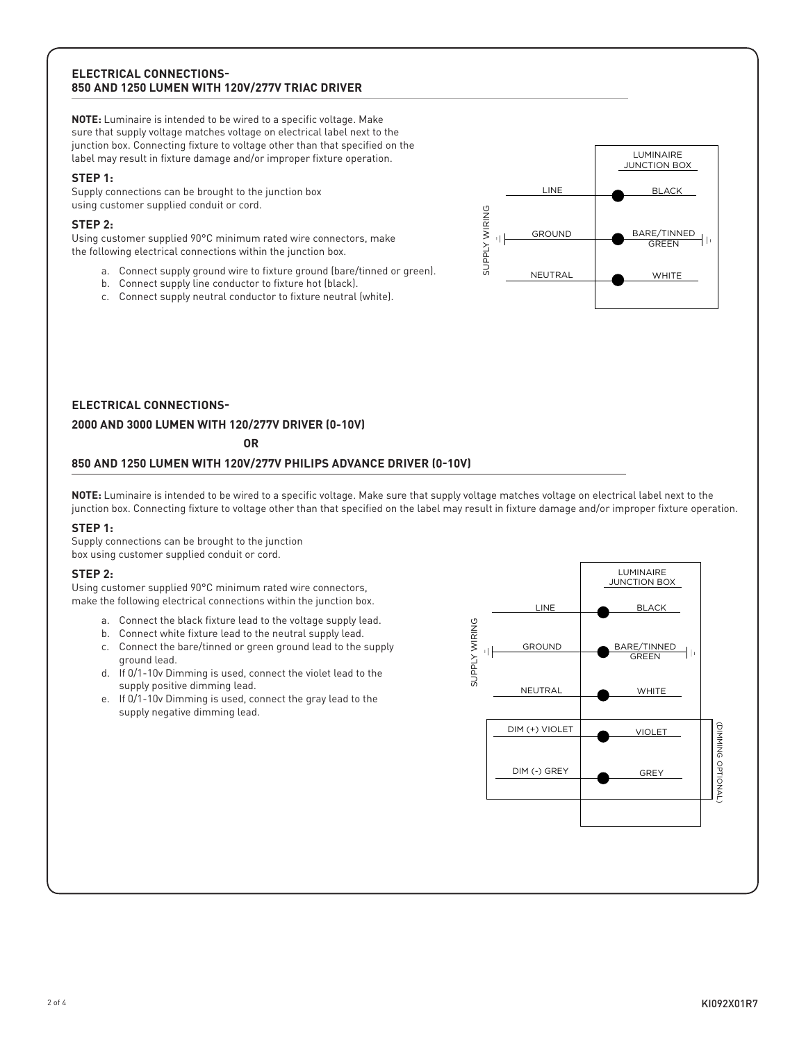#### **ELECTRICAL CONNECTIONS-850 AND 1250 LUMEN WITH 120V/277V TRIAC DRIVER**

**NOTE:** Luminaire is intended to be wired to a specific voltage. Make sure that supply voltage matches voltage on electrical label next to the junction box. Connecting fixture to voltage other than that specified on the label may result in fixture damage and/or improper fixture operation.

#### **STEP 1:**

Supply connections can be brought to the junction box using customer supplied conduit or cord.

#### **STEP 2:**

Using customer supplied 90°C minimum rated wire connectors, make the following electrical connections within the junction box.

- a. Connect supply ground wire to fixture ground (bare/tinned or green).
- b. Connect supply line conductor to fixture hot (black).
- c. Connect supply neutral conductor to fixture neutral (white).



#### **ELECTRICAL CONNECTIONS-**

#### **2000 AND 3000 LUMEN WITH 120/277V DRIVER (0-10V)**

**OR**

#### **850 AND 1250 LUMEN WITH 120V/277V PHILIPS ADVANCE DRIVER (0-10V)**

**NOTE:** Luminaire is intended to be wired to a specific voltage. Make sure that supply voltage matches voltage on electrical label next to the junction box. Connecting fixture to voltage other than that specified on the label may result in fixture damage and/or improper fixture operation.

#### **STEP 1:**

Supply connections can be brought to the junction box using customer supplied conduit or cord.

#### **STEP 2:**

Using customer supplied 90°C minimum rated wire connectors, make the following electrical connections within the junction box.

- a. Connect the black fixture lead to the voltage supply lead.
- b. Connect white fixture lead to the neutral supply lead.
- c. Connect the bare/tinned or green ground lead to the supply ground lead.
- d. If 0/1-10v Dimming is used, connect the violet lead to the supply positive dimming lead.
- e. If 0/1-10v Dimming is used, connect the gray lead to the supply negative dimming lead.

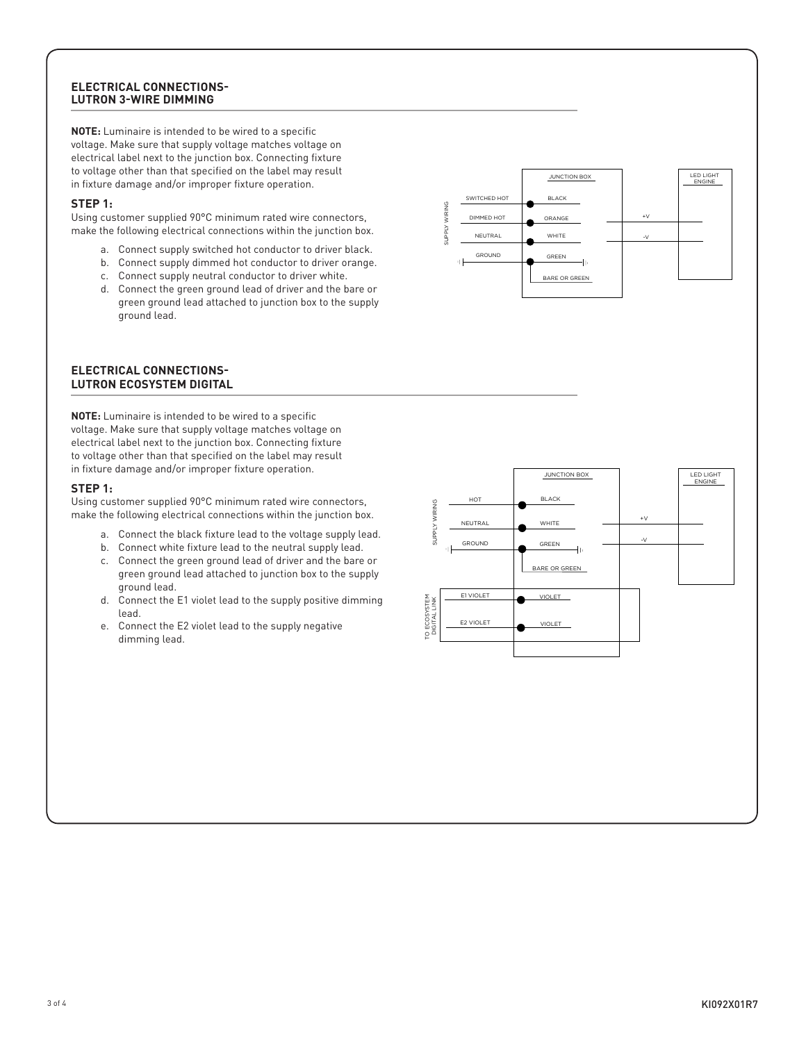#### **ELECTRICAL CONNECTIONS-LUTRON 3-WIRE DIMMING**

**NOTE:** Luminaire is intended to be wired to a specific voltage. Make sure that supply voltage matches voltage on electrical label next to the junction box. Connecting fixture to voltage other than that specified on the label may result in fixture damage and/or improper fixture operation.

#### **STEP 1:**

Using customer supplied 90°C minimum rated wire connectors, make the following electrical connections within the junction box.

- a. Connect supply switched hot conductor to driver black.
- b. Connect supply dimmed hot conductor to driver orange.
- c. Connect supply neutral conductor to driver white.
- d. Connect the green ground lead of driver and the bare or green ground lead attached to junction box to the supply ground lead.



**NOTE:** Luminaire is intended to be wired to a specific voltage. Make sure that supply voltage matches voltage on electrical label next to the junction box. Connecting fixture to voltage other than that specified on the label may result in fixture damage and/or improper fixture operation.

#### **STEP 1:**

Using customer supplied 90°C minimum rated wire connectors, make the following electrical connections within the junction box.

- a. Connect the black fixture lead to the voltage supply lead.
- b. Connect white fixture lead to the neutral supply lead.
- c. Connect the green ground lead of driver and the bare or green ground lead attached to junction box to the supply ground lead.
- d. Connect the E1 violet lead to the supply positive dimming lead.
- e. Connect the E2 violet lead to the supply negative dimming lead.